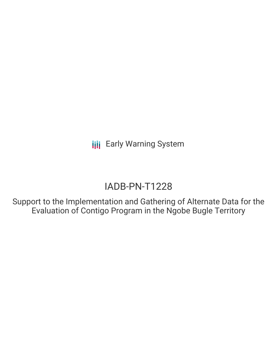# IADB-PN-T1228

Support to the Implementation and Gathering of Alternate Data for the Evaluation of Contigo Program in the Ngobe Bugle Territory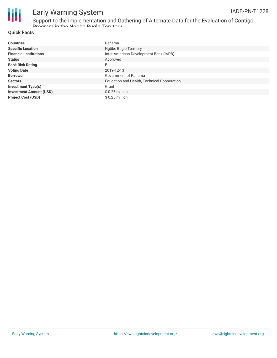

Support to the Implementation and Gathering of Alternate Data for the Evaluation of Contigo Program in the Ngobe Bugle Territory

#### **Quick Facts**

| <b>Countries</b>               | Panama                                      |
|--------------------------------|---------------------------------------------|
| <b>Specific Location</b>       | Ngöbe Bugle Territory                       |
| <b>Financial Institutions</b>  | Inter-American Development Bank (IADB)      |
| <b>Status</b>                  | Approved                                    |
| <b>Bank Risk Rating</b>        | B                                           |
| <b>Voting Date</b>             | 2019-12-13                                  |
| <b>Borrower</b>                | Government of Panama                        |
| <b>Sectors</b>                 | Education and Health, Technical Cooperation |
| <b>Investment Type(s)</b>      | Grant                                       |
| <b>Investment Amount (USD)</b> | $$0.25$ million                             |
| <b>Project Cost (USD)</b>      | $$0.25$ million                             |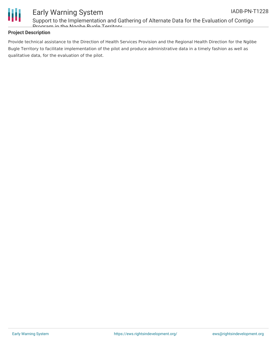

Support to the Implementation and Gathering of Alternate Data for the Evaluation of Contigo Program in the Ngobe Bugle Territory

#### **Project Description**

Provide technical assistance to the Direction of Health Services Provision and the Regional Health Direction for the Ngöbe Bugle Territory to facilitate implementation of the pilot and produce administrative data in a timely fashion as well as qualitative data, for the evaluation of the pilot.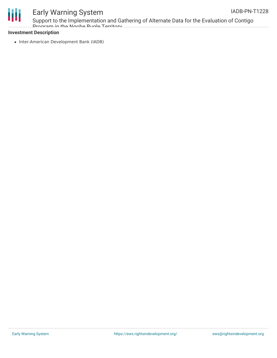



Support to the Implementation and Gathering of Alternate Data for the Evaluation of Contigo Program in the Ngobe Bugle Territory

#### **Investment Description**

• Inter-American Development Bank (IADB)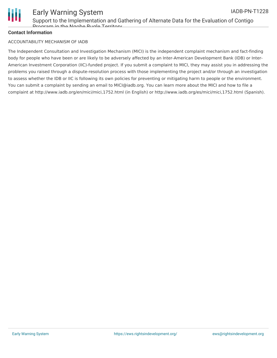

### Early Warning System IADB-PN-T1228

#### **Contact Information**

#### ACCOUNTABILITY MECHANISM OF IADB

The Independent Consultation and Investigation Mechanism (MICI) is the independent complaint mechanism and fact-finding body for people who have been or are likely to be adversely affected by an Inter-American Development Bank (IDB) or Inter-American Investment Corporation (IIC)-funded project. If you submit a complaint to MICI, they may assist you in addressing the problems you raised through a dispute-resolution process with those implementing the project and/or through an investigation to assess whether the IDB or IIC is following its own policies for preventing or mitigating harm to people or the environment. You can submit a complaint by sending an email to MICI@iadb.org. You can learn more about the MICI and how to file a complaint at http://www.iadb.org/en/mici/mici,1752.html (in English) or http://www.iadb.org/es/mici/mici,1752.html (Spanish).